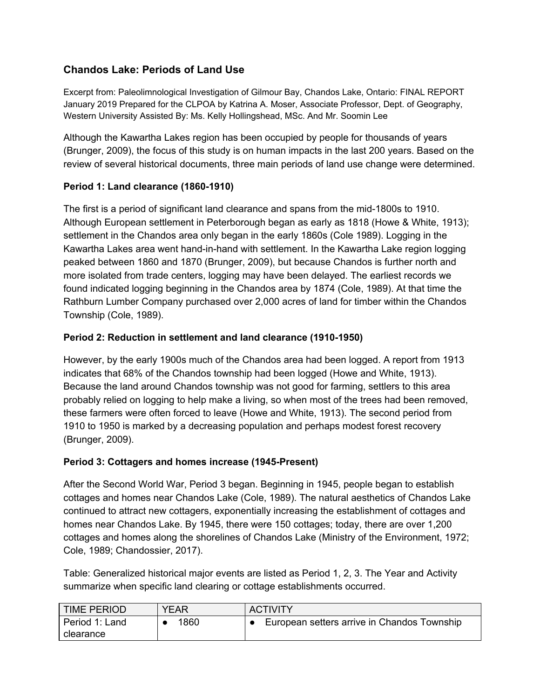# **Chandos Lake: Periods of Land Use**

Excerpt from: Paleolimnological Investigation of Gilmour Bay, Chandos Lake, Ontario: FINAL REPORT January 2019 Prepared for the CLPOA by Katrina A. Moser, Associate Professor, Dept. of Geography, Western University Assisted By: Ms. Kelly Hollingshead, MSc. And Mr. Soomin Lee

Although the Kawartha Lakes region has been occupied by people for thousands of years (Brunger, 2009), the focus of this study is on human impacts in the last 200 years. Based on the review of several historical documents, three main periods of land use change were determined.

# **Period 1: Land clearance (1860-1910)**

The first is a period of significant land clearance and spans from the mid-1800s to 1910. Although European settlement in Peterborough began as early as 1818 (Howe & White, 1913); settlement in the Chandos area only began in the early 1860s (Cole 1989). Logging in the Kawartha Lakes area went hand-in-hand with settlement. In the Kawartha Lake region logging peaked between 1860 and 1870 (Brunger, 2009), but because Chandos is further north and more isolated from trade centers, logging may have been delayed. The earliest records we found indicated logging beginning in the Chandos area by 1874 (Cole, 1989). At that time the Rathburn Lumber Company purchased over 2,000 acres of land for timber within the Chandos Township (Cole, 1989).

# **Period 2: Reduction in settlement and land clearance (1910-1950)**

However, by the early 1900s much of the Chandos area had been logged. A report from 1913 indicates that 68% of the Chandos township had been logged (Howe and White, 1913). Because the land around Chandos township was not good for farming, settlers to this area probably relied on logging to help make a living, so when most of the trees had been removed, these farmers were often forced to leave (Howe and White, 1913). The second period from 1910 to 1950 is marked by a decreasing population and perhaps modest forest recovery (Brunger, 2009).

### **Period 3: Cottagers and homes increase (1945-Present)**

After the Second World War, Period 3 began. Beginning in 1945, people began to establish cottages and homes near Chandos Lake (Cole, 1989). The natural aesthetics of Chandos Lake continued to attract new cottagers, exponentially increasing the establishment of cottages and homes near Chandos Lake. By 1945, there were 150 cottages; today, there are over 1,200 cottages and homes along the shorelines of Chandos Lake (Ministry of the Environment, 1972; Cole, 1989; Chandossier, 2017).

Table: Generalized historical major events are listed as Period 1, 2, 3. The Year and Activity summarize when specific land clearing or cottage establishments occurred.

| <b>TIME PERIOD</b> | YEAR | <b>ACTIVITY</b>                             |
|--------------------|------|---------------------------------------------|
| Period 1: Land     | 1860 | European setters arrive in Chandos Township |
| clearance          |      |                                             |